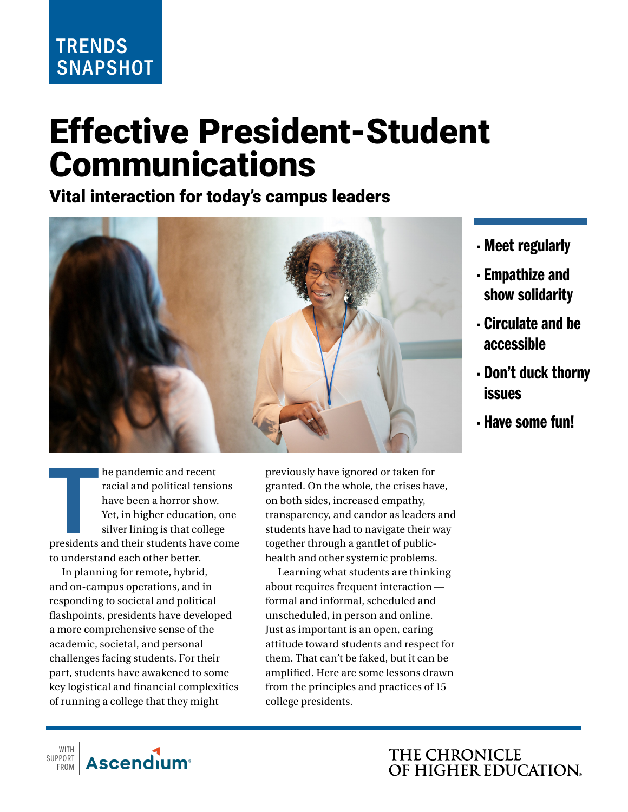## **TRENDS SNAPSHOT**

# Effective President-Student Communications

## Vital interaction for today's campus leaders



- Meet regularly
- Empathize and show solidarity
- Circulate and be accessible
- Don't duck thorny issues
- Have some fun!

**THE STREET SET SET SET SET SET SET SET SET SERVIDE SET SINCE SINCE SINCE SINCE SINCE SINCE SINCE SINCE SINCE SINCE SINCE SINCE SINCE SINCE SINCE SINCE SINCE SINCE SINCE SINCE SINCE SINCE SINCE SINCE SINCE SINCE SINCE SINC** he pandemic and recent racial and political tensions have been a horror show. Yet, in higher education, one silver lining is that college to understand each other better.

In planning for remote, hybrid, and on-campus operations, and in responding to societal and political flashpoints, presidents have developed a more comprehensive sense of the academic, societal, and personal challenges facing students. For their part, students have awakened to some key logistical and financial complexities of running a college that they might

**Ascendium**<sup>®</sup>

WITH SUPPORT FROM previously have ignored or taken for granted. On the whole, the crises have, on both sides, increased empathy, transparency, and candor as leaders and students have had to navigate their way together through a gantlet of publichealth and other systemic problems.

Learning what students are thinking about requires frequent interaction formal and informal, scheduled and unscheduled, in person and online. Just as important is an open, caring attitude toward students and respect for them. That can't be faked, but it can be amplified. Here are some lessons drawn from the principles and practices of 15 college presidents.

> THE CHRONICLE OF HIGHER EDUCATION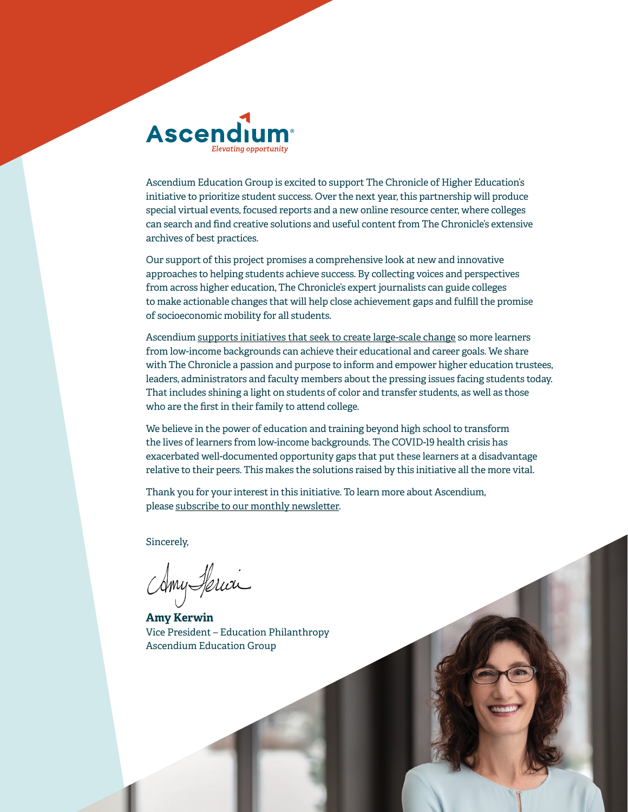

Ascendium Education Group is excited to support The Chronicle of Higher Education's initiative to prioritize student success. Over the next year, this partnership will produce special virtual events, focused reports and a new online resource center, where colleges can search and find creative solutions and useful content from The Chronicle's extensive archives of best practices.

Our support of this project promises a comprehensive look at new and innovative approaches to helping students achieve success. By collecting voices and perspectives from across higher education, The Chronicle's expert journalists can guide colleges to make actionable changes that will help close achievement gaps and fulfill the promise of socioeconomic mobility for all students.

Ascendium supports initiatives that seek to create large-scale change so more learners from low-income backgrounds can achieve their educational and career goals. We share with The Chronicle a passion and purpose to inform and empower higher education trustees, leaders, administrators and faculty members about the pressing issues facing students today. That includes shining a light on students of color and transfer students, as well as those who are the first in their family to attend college.

We believe in the power of education and training beyond high school to transform the lives of learners from low-income backgrounds. The COVID-19 health crisis has exacerbated well-documented opportunity gaps that put these learners at a disadvantage relative to their peers. This makes the solutions raised by this initiative all the more vital.

Thank you for your interest in this initiative. To learn more about Ascendium, please subscribe to our monthly newsletter.

Sincerely,

Amy Herici

**Amy Kerwin** Vice President – Education Philanthropy Ascendium Education Group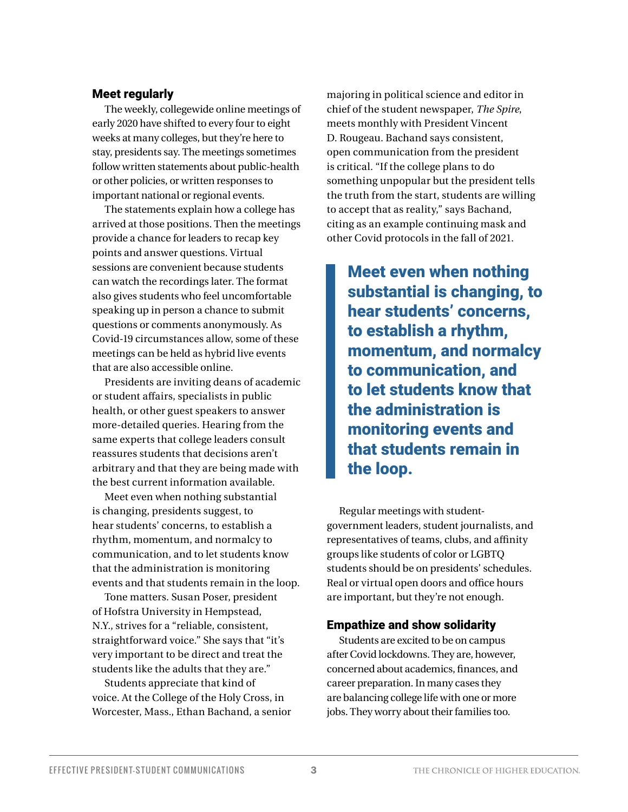#### Meet regularly

The weekly, collegewide online meetings of early 2020 have shifted to every four to eight weeks at many colleges, but they're here to stay, presidents say. The meetings sometimes follow written statements about public-health or other policies, or written responses to important national or regional events.

The statements explain how a college has arrived at those positions. Then the meetings provide a chance for leaders to recap key points and answer questions. Virtual sessions are convenient because students can watch the recordings later. The format also gives students who feel uncomfortable speaking up in person a chance to submit questions or comments anonymously. As Covid-19 circumstances allow, some of these meetings can be held as hybrid live events that are also accessible online.

Presidents are inviting deans of academic or student affairs, specialists in public health, or other guest speakers to answer more-detailed queries. Hearing from the same experts that college leaders consult reassures students that decisions aren't arbitrary and that they are being made with the best current information available.

Meet even when nothing substantial is changing, presidents suggest, to hear students' concerns, to establish a rhythm, momentum, and normalcy to communication, and to let students know that the administration is monitoring events and that students remain in the loop.

Tone matters. Susan Poser, president of Hofstra University in Hempstead, N.Y., strives for a "reliable, consistent, straightforward voice." She says that "it's very important to be direct and treat the students like the adults that they are."

Students appreciate that kind of voice. At the College of the Holy Cross, in Worcester, Mass., Ethan Bachand, a senior majoring in political science and editor in chief of the student newspaper, *The Spire*, meets monthly with President Vincent D. Rougeau. Bachand says consistent, open communication from the president is critical. "If the college plans to do something unpopular but the president tells the truth from the start, students are willing to accept that as reality," says Bachand, citing as an example continuing mask and other Covid protocols in the fall of 2021.

Meet even when nothing substantial is changing, to hear students' concerns, to establish a rhythm, momentum, and normalcy to communication, and to let students know that the administration is monitoring events and that students remain in the loop.

Regular meetings with studentgovernment leaders, student journalists, and representatives of teams, clubs, and affinity groups like students of color or LGBTQ students should be on presidents' schedules. Real or virtual open doors and office hours are important, but they're not enough.

#### Empathize and show solidarity

Students are excited to be on campus after Covid lockdowns. They are, however, concerned about academics, finances, and career preparation. In many cases they are balancing college life with one or more jobs. They worry about their families too.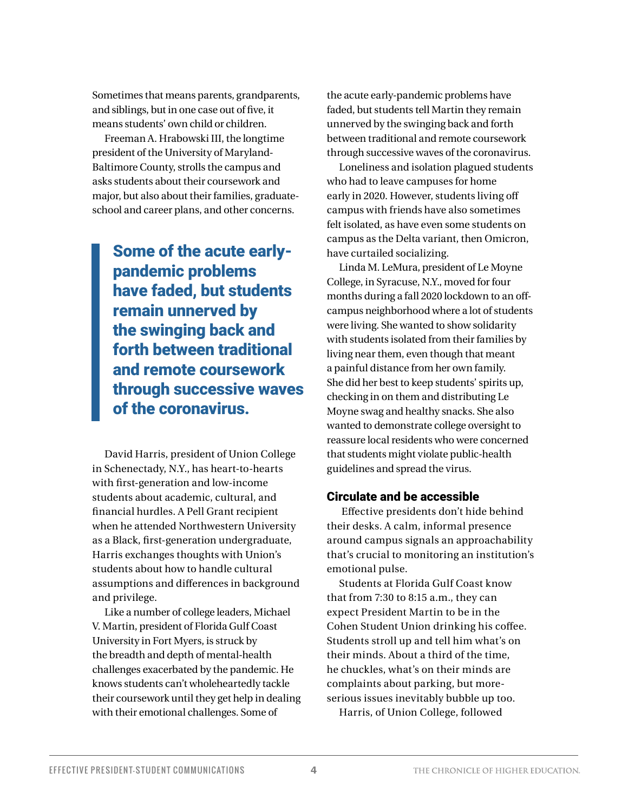Sometimes that means parents, grandparents, and siblings, but in one case out of five, it means students' own child or children.

Freeman A. Hrabowski III, the longtime president of the University of Maryland-Baltimore County, strolls the campus and asks students about their coursework and major, but also about their families, graduateschool and career plans, and other concerns.

Some of the acute earlypandemic problems have faded, but students remain unnerved by the swinging back and forth between traditional and remote coursework through successive waves of the coronavirus.

David Harris, president of Union College in Schenectady, N.Y., has heart-to-hearts with first-generation and low-income students about academic, cultural, and financial hurdles. A Pell Grant recipient when he attended Northwestern University as a Black, first-generation undergraduate, Harris exchanges thoughts with Union's students about how to handle cultural assumptions and differences in background and privilege.

Like a number of college leaders, Michael V. Martin, president of Florida Gulf Coast University in Fort Myers, is struck by the breadth and depth of mental-health challenges exacerbated by the pandemic. He knows students can't wholeheartedly tackle their coursework until they get help in dealing with their emotional challenges. Some of

the acute early-pandemic problems have faded, but students tell Martin they remain unnerved by the swinging back and forth between traditional and remote coursework through successive waves of the coronavirus.

Loneliness and isolation plagued students who had to leave campuses for home early in 2020. However, students living off campus with friends have also sometimes felt isolated, as have even some students on campus as the Delta variant, then Omicron, have curtailed socializing.

Linda M. LeMura, president of Le Moyne College, in Syracuse, N.Y., moved for four months during a fall 2020 lockdown to an offcampus neighborhood where a lot of students were living. She wanted to show solidarity with students isolated from their families by living near them, even though that meant a painful distance from her own family. She did her best to keep students' spirits up, checking in on them and distributing Le Moyne swag and healthy snacks. She also wanted to demonstrate college oversight to reassure local residents who were concerned that students might violate public-health guidelines and spread the virus.

#### Circulate and be accessible

 Effective presidents don't hide behind their desks. A calm, informal presence around campus signals an approachability that's crucial to monitoring an institution's emotional pulse.

Students at Florida Gulf Coast know that from 7:30 to 8:15 a.m., they can expect President Martin to be in the Cohen Student Union drinking his coffee. Students stroll up and tell him what's on their minds. About a third of the time, he chuckles, what's on their minds are complaints about parking, but moreserious issues inevitably bubble up too. Harris, of Union College, followed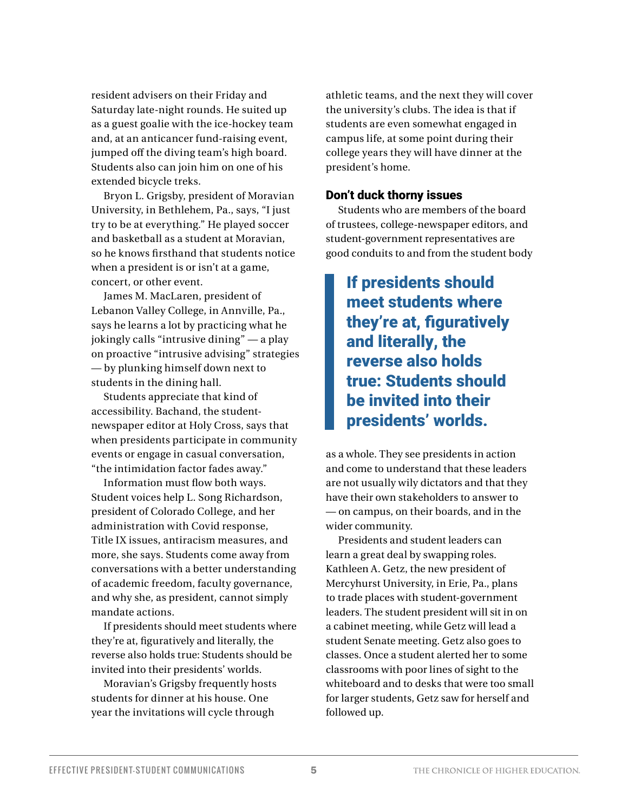resident advisers on their Friday and Saturday late-night rounds. He suited up as a guest goalie with the ice-hockey team and, at an anticancer fund-raising event, jumped off the diving team's high board. Students also can join him on one of his extended bicycle treks.

Bryon L. Grigsby, president of Moravian University, in Bethlehem, Pa., says, "I just try to be at everything." He played soccer and basketball as a student at Moravian, so he knows firsthand that students notice when a president is or isn't at a game, concert, or other event.

James M. MacLaren, president of Lebanon Valley College, in Annville, Pa., says he learns a lot by practicing what he jokingly calls "intrusive dining" — a play on proactive "intrusive advising" strategies — by plunking himself down next to students in the dining hall.

Students appreciate that kind of accessibility. Bachand, the studentnewspaper editor at Holy Cross, says that when presidents participate in community events or engage in casual conversation, "the intimidation factor fades away."

Information must flow both ways. Student voices help L. Song Richardson, president of Colorado College, and her administration with Covid response, Title IX issues, antiracism measures, and more, she says. Students come away from conversations with a better understanding of academic freedom, faculty governance, and why she, as president, cannot simply mandate actions.

If presidents should meet students where they're at, figuratively and literally, the reverse also holds true: Students should be invited into their presidents' worlds.

Moravian's Grigsby frequently hosts students for dinner at his house. One year the invitations will cycle through

athletic teams, and the next they will cover the university's clubs. The idea is that if students are even somewhat engaged in campus life, at some point during their college years they will have dinner at the president's home.

#### Don't duck thorny issues

Students who are members of the board of trustees, college-newspaper editors, and student-government representatives are good conduits to and from the student body

If presidents should meet students where they're at, figuratively and literally, the reverse also holds true: Students should be invited into their presidents' worlds.

as a whole. They see presidents in action and come to understand that these leaders are not usually wily dictators and that they have their own stakeholders to answer to — on campus, on their boards, and in the wider community.

Presidents and student leaders can learn a great deal by swapping roles. Kathleen A. Getz, the new president of Mercyhurst University, in Erie, Pa., plans to trade places with student-government leaders. The student president will sit in on a cabinet meeting, while Getz will lead a student Senate meeting. Getz also goes to classes. Once a student alerted her to some classrooms with poor lines of sight to the whiteboard and to desks that were too small for larger students, Getz saw for herself and followed up.